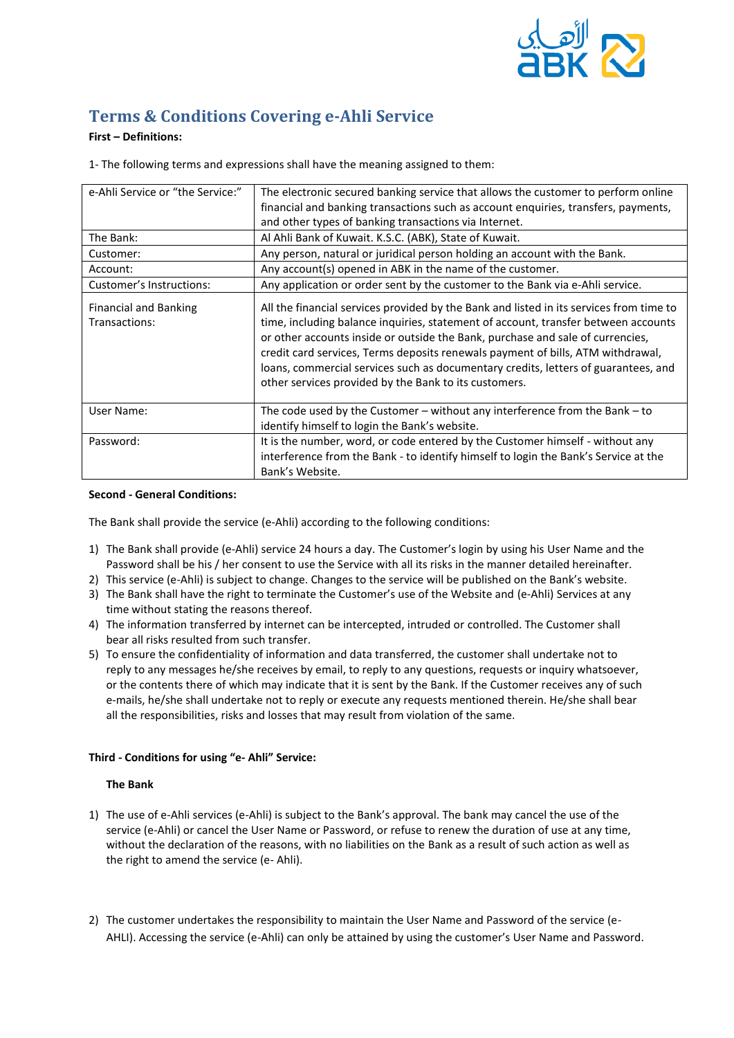

# **Terms & Conditions Covering e-Ahli Service**

## **First – Definitions:**

1- The following terms and expressions shall have the meaning assigned to them:

| e-Ahli Service or "the Service:"              | The electronic secured banking service that allows the customer to perform online                                                                                                                                                                                                                                                                                                                                                                                                                 |
|-----------------------------------------------|---------------------------------------------------------------------------------------------------------------------------------------------------------------------------------------------------------------------------------------------------------------------------------------------------------------------------------------------------------------------------------------------------------------------------------------------------------------------------------------------------|
|                                               | financial and banking transactions such as account enquiries, transfers, payments,                                                                                                                                                                                                                                                                                                                                                                                                                |
|                                               | and other types of banking transactions via Internet.                                                                                                                                                                                                                                                                                                                                                                                                                                             |
| The Bank:                                     | Al Ahli Bank of Kuwait. K.S.C. (ABK), State of Kuwait.                                                                                                                                                                                                                                                                                                                                                                                                                                            |
| Customer:                                     | Any person, natural or juridical person holding an account with the Bank.                                                                                                                                                                                                                                                                                                                                                                                                                         |
| Account:                                      | Any account(s) opened in ABK in the name of the customer.                                                                                                                                                                                                                                                                                                                                                                                                                                         |
| Customer's Instructions:                      | Any application or order sent by the customer to the Bank via e-Ahli service.                                                                                                                                                                                                                                                                                                                                                                                                                     |
| <b>Financial and Banking</b><br>Transactions: | All the financial services provided by the Bank and listed in its services from time to<br>time, including balance inquiries, statement of account, transfer between accounts<br>or other accounts inside or outside the Bank, purchase and sale of currencies,<br>credit card services, Terms deposits renewals payment of bills, ATM withdrawal,<br>loans, commercial services such as documentary credits, letters of guarantees, and<br>other services provided by the Bank to its customers. |
| User Name:                                    | The code used by the Customer $-$ without any interference from the Bank $-$ to<br>identify himself to login the Bank's website.                                                                                                                                                                                                                                                                                                                                                                  |
| Password:                                     | It is the number, word, or code entered by the Customer himself - without any<br>interference from the Bank - to identify himself to login the Bank's Service at the<br>Bank's Website.                                                                                                                                                                                                                                                                                                           |

## **Second - General Conditions:**

The Bank shall provide the service (e-Ahli) according to the following conditions:

- 1) The Bank shall provide (e-Ahli) service 24 hours a day. The Customer's login by using his User Name and the Password shall be his / her consent to use the Service with all its risks in the manner detailed hereinafter.
- 2) This service (e-Ahli) is subject to change. Changes to the service will be published on the Bank's website.
- 3) The Bank shall have the right to terminate the Customer's use of the Website and (e-Ahli) Services at any time without stating the reasons thereof.
- 4) The information transferred by internet can be intercepted, intruded or controlled. The Customer shall bear all risks resulted from such transfer.
- 5) To ensure the confidentiality of information and data transferred, the customer shall undertake not to reply to any messages he/she receives by email, to reply to any questions, requests or inquiry whatsoever, or the contents there of which may indicate that it is sent by the Bank. If the Customer receives any of such e-mails, he/she shall undertake not to reply or execute any requests mentioned therein. He/she shall bear all the responsibilities, risks and losses that may result from violation of the same.

## **Third - Conditions for using "e- Ahli" Service:**

## **The Bank**

- 1) The use of e-Ahli services (e-Ahli) is subject to the Bank's approval. The bank may cancel the use of the service (e-Ahli) or cancel the User Name or Password, or refuse to renew the duration of use at any time, without the declaration of the reasons, with no liabilities on the Bank as a result of such action as well as the right to amend the service (e- Ahli).
- 2) The customer undertakes the responsibility to maintain the User Name and Password of the service (e-AHLI). Accessing the service (e-Ahli) can only be attained by using the customer's User Name and Password.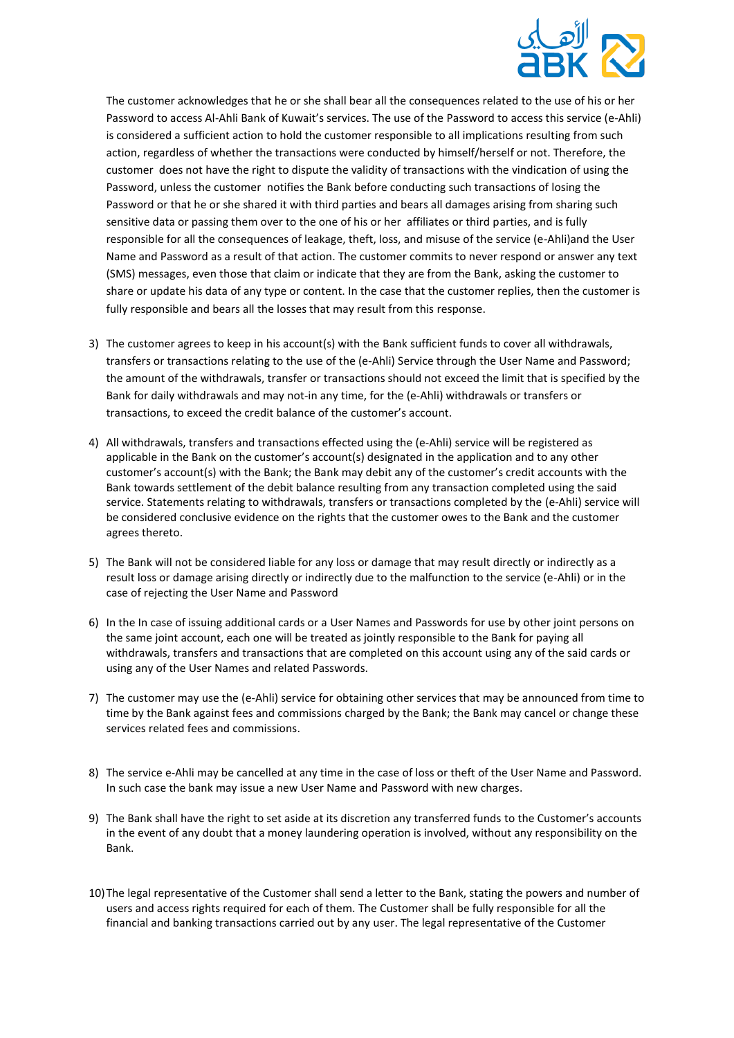

The customer acknowledges that he or she shall bear all the consequences related to the use of his or her Password to access Al-Ahli Bank of Kuwait's services. The use of the Password to access this service (e-Ahli) is considered a sufficient action to hold the customer responsible to all implications resulting from such action, regardless of whether the transactions were conducted by himself/herself or not. Therefore, the customer does not have the right to dispute the validity of transactions with the vindication of using the Password, unless the customer notifies the Bank before conducting such transactions of losing the Password or that he or she shared it with third parties and bears all damages arising from sharing such sensitive data or passing them over to the one of his or her affiliates or third parties, and is fully responsible for all the consequences of leakage, theft, loss, and misuse of the service (e-Ahli)and the User Name and Password as a result of that action. The customer commits to never respond or answer any text (SMS) messages, even those that claim or indicate that they are from the Bank, asking the customer to share or update his data of any type or content. In the case that the customer replies, then the customer is fully responsible and bears all the losses that may result from this response.

- 3) The customer agrees to keep in his account(s) with the Bank sufficient funds to cover all withdrawals, transfers or transactions relating to the use of the (e-Ahli) Service through the User Name and Password; the amount of the withdrawals, transfer or transactions should not exceed the limit that is specified by the Bank for daily withdrawals and may not-in any time, for the (e-Ahli) withdrawals or transfers or transactions, to exceed the credit balance of the customer's account.
- 4) All withdrawals, transfers and transactions effected using the (e-Ahli) service will be registered as applicable in the Bank on the customer's account(s) designated in the application and to any other customer's account(s) with the Bank; the Bank may debit any of the customer's credit accounts with the Bank towards settlement of the debit balance resulting from any transaction completed using the said service. Statements relating to withdrawals, transfers or transactions completed by the (e-Ahli) service will be considered conclusive evidence on the rights that the customer owes to the Bank and the customer agrees thereto.
- 5) The Bank will not be considered liable for any loss or damage that may result directly or indirectly as a result loss or damage arising directly or indirectly due to the malfunction to the service (e-Ahli) or in the case of rejecting the User Name and Password
- 6) In the In case of issuing additional cards or a User Names and Passwords for use by other joint persons on the same joint account, each one will be treated as jointly responsible to the Bank for paying all withdrawals, transfers and transactions that are completed on this account using any of the said cards or using any of the User Names and related Passwords.
- 7) The customer may use the (e-Ahli) service for obtaining other services that may be announced from time to time by the Bank against fees and commissions charged by the Bank; the Bank may cancel or change these services related fees and commissions.
- 8) The service e-Ahli may be cancelled at any time in the case of loss or theft of the User Name and Password. In such case the bank may issue a new User Name and Password with new charges.
- 9) The Bank shall have the right to set aside at its discretion any transferred funds to the Customer's accounts in the event of any doubt that a money laundering operation is involved, without any responsibility on the Bank.
- 10)The legal representative of the Customer shall send a letter to the Bank, stating the powers and number of users and access rights required for each of them. The Customer shall be fully responsible for all the financial and banking transactions carried out by any user. The legal representative of the Customer